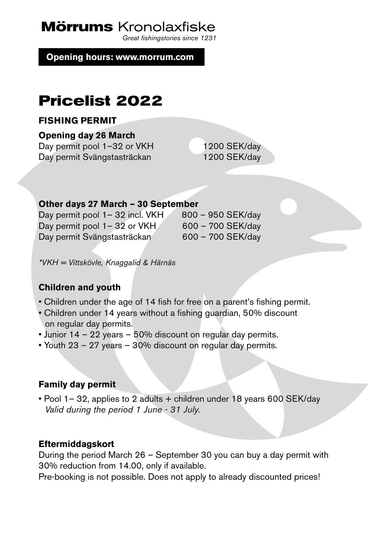**Mörrums** Kronolaxfiske

*Great fishingstories since 1231*

**Opening hours: www.morrum.com**

# **Pricelist 2022**

#### **FISHING PERMIT**

**Opening day 26 March**

Day permit pool 1–32 or VKH 1200 SEK/day Day permit Svängstasträckan 1200 SEK/day

#### **Other days 27 March – 30 September**

Day permit pool  $1-32$  incl. VKH  $800-950$  SEK/day Day permit pool  $1-32$  or VKH 600 – 700 SEK/day Day permit Svängstasträckan 600 – 700 SEK/day

*\*VKH = Vittskövle, Knaggalid & Härnäs*

## **Children and youth**

- Children under the age of 14 fish for free on a parent's fishing permit.
- Children under 14 years without a fishing guardian, 50% discount on regular day permits.
- Junior 14 22 years 50% discount on regular day permits.
- Youth 23 27 years 30% discount on regular day permits.

# **Family day permit**

• Pool 1– 32, applies to 2 adults + children under 18 years 600 SEK/day *Valid during the period 1 June - 31 July.*

## **Eftermiddagskort**

During the period March 26 – September 30 you can buy a day permit with 30% reduction from 14.00, only if available.

Pre-booking is not possible. Does not apply to already discounted prices!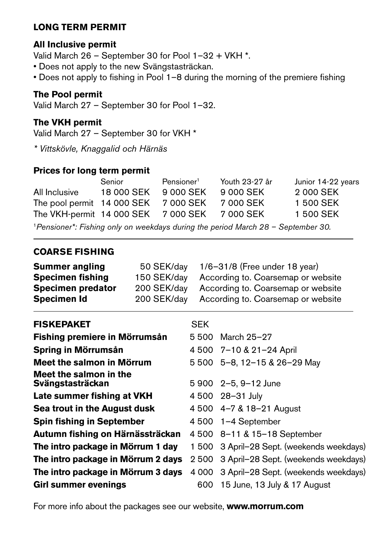# **LONG TERM PERMIT**

## **All Inclusive permit**

Valid March 26 – September 30 for Pool 1–32 + VKH \*.

- Does not apply to the new Svängstasträckan.
- Does not apply to fishing in Pool 1–8 during the morning of the premiere fishing

#### **The Pool permit**

Valid March 27 – September 30 for Pool 1–32.

#### **The VKH permit**

Valid March 27 – September 30 for VKH \*

*\* Vittskövle, Knaggalid och Härnäs*

## **Prices for long term permit**

|                                      | Senior     | Pensioner <sup>1</sup> | Youth 23-27 år | Junior 14-22 years |
|--------------------------------------|------------|------------------------|----------------|--------------------|
| All Inclusive                        | 18 000 SEK | 9 000 SEK              | 9 000 SEK      | 2 000 SEK          |
| The pool permit 14 000 SEK 7 000 SEK |            |                        | 7 000 SEK      | 1 500 SEK          |
| The VKH-permit 14 000 SEK 7 000 SEK  |            |                        | 7 000 SEK      | 1 500 SEK          |
|                                      |            |                        |                |                    |

<sup>1</sup>*Pensioner\*: Fishing only on weekdays during the period March 28 – September 30.*

# **COARSE FISHING**

| <b>Summer angling</b>    | 50 SEK/dav  | $1/6 - 31/8$ (Free under 18 year)  |
|--------------------------|-------------|------------------------------------|
| <b>Specimen fishing</b>  | 150 SEK/dav | According to. Coarsemap or website |
| <b>Specimen predator</b> | 200 SEK/day | According to. Coarsemap or website |
| Specimen Id              | 200 SEK/dav | According to. Coarsemap or website |

| <b>FISKEPAKET</b>                          | SEK |                                            |
|--------------------------------------------|-----|--------------------------------------------|
| Fishing premiere in Mörrumsån              |     | 5 500 March 25-27                          |
| Spring in Mörrumsån                        |     | 4 500 7-10 & 21-24 April                   |
| Meet the salmon in Mörrum                  |     | 5 500 5-8, 12-15 & 26-29 May               |
| Meet the salmon in the<br>Svängstasträckan |     | 5 900 2-5, 9-12 June                       |
| Late summer fishing at VKH                 |     | 4 500 28-31 July                           |
| Sea trout in the August dusk               |     | 4 500 4-7 & 18-21 August                   |
| <b>Spin fishing in September</b>           |     | 4 500 1-4 September                        |
| Autumn fishing on Härnässträckan           |     | 4 500 8-11 & 15-18 September               |
| The intro package in Mörrum 1 day          |     | 1 500 3 April-28 Sept. (weekends weekdays) |
| The intro package in Mörrum 2 days         |     | 2 500 3 April-28 Sept. (weekends weekdays) |
| The intro package in Mörrum 3 days         |     | 4 000 3 April-28 Sept. (weekends weekdays) |
| <b>Girl summer evenings</b>                | 600 | 15 June, 13 July & 17 August               |
|                                            |     |                                            |

For more info about the packages see our website, **www.morrum.com**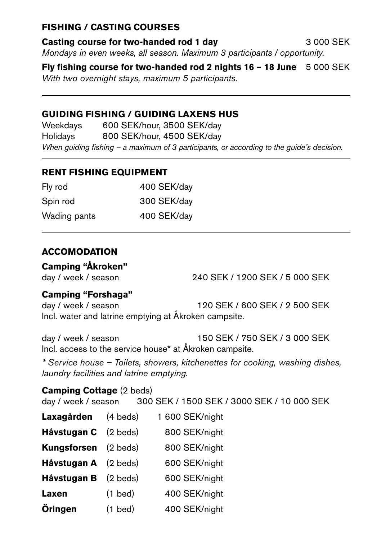# **FISHING / CASTING COURSES**

**Casting course for two-handed rod 1 day** 3 000 SEK *Mondays in even weeks, all season. Maximum 3 participants / opportunity.*

**Fly fishing course for two-handed rod 2 nights 16 – 18 June** 5 000 SEK *With two overnight stays, maximum 5 participants.* 

# **GUIDING FISHING / GUIDING LAXENS HUS**

Weekdays 600 SEK/hour, 3500 SEK/day Holidays 800 SEK/hour, 4500 SEK/day *When guiding fishing – a maximum of 3 participants, or according to the guide's decision.*

# **RENT FISHING EQUIPMENT**

| Fly rod      | 400 SEK/day |
|--------------|-------------|
| Spin rod     | 300 SEK/day |
| Wading pants | 400 SEK/day |

# **ACCOMODATION**

# **Camping "Åkroken"**

day / week / season 240 SEK / 1200 SEK / 5 000 SEK

# **Camping "Forshaga"**

day / week / season 120 SEK / 600 SEK / 2 500 SEK Incl. water and latrine emptying at Åkroken campsite.

day / week / season 150 SEK / 750 SEK / 3 000 SEK Incl. access to the service house\* at Åkroken campsite.

*\* Service house – Toilets, showers, kitchenettes for cooking, washing dishes, laundry facilities and latrine emptying.*

# **Camping Cottage** (2 beds)

day / week / season 300 SEK / 1500 SEK / 3000 SEK / 10 000 SEK

- **Laxagården** (4 beds) 1 600 SEK/night Håvstugan C (2 beds) 800 SEK/night **Kungsforsen** (2 beds) 800 SEK/night **Håvstugan A** (2 beds) 600 SEK/night **Håvstugan B** (2 beds) 600 SEK/night Laxen (1 bed) 400 SEK/night
- **Öringen** (1 bed) 400 SEK/night